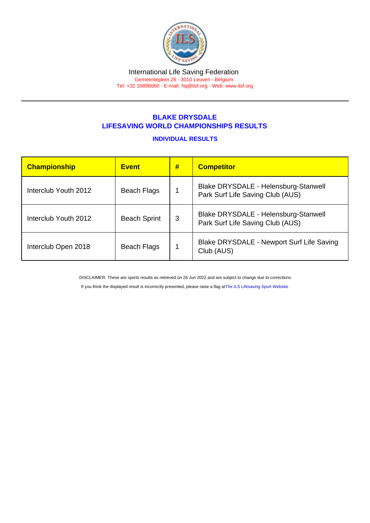#### International Life Saving Federation Gemeenteplein 26 - 3010 Leuven - Belgium Tel: +32 16896060 - E-mail: [hq@ilsf.org](mailto:hq@ilsf.org) - Web: [www.ilsf.org](https://www.ilsf.org)

# BLAKE DRYSDALE LIFESAVING WORLD CHAMPIONSHIPS RESULTS

## INDIVIDUAL RESULTS

| <b>Championship</b>  | <b>Event</b>        | # | <b>Competitor</b>                                                        |
|----------------------|---------------------|---|--------------------------------------------------------------------------|
| Interclub Youth 2012 | Beach Flags         |   | Blake DRYSDALE - Helensburg-Stanwell<br>Park Surf Life Saving Club (AUS) |
| Interclub Youth 2012 | <b>Beach Sprint</b> | 3 | Blake DRYSDALE - Helensburg-Stanwell<br>Park Surf Life Saving Club (AUS) |
| Interclub Open 2018  | Beach Flags         |   | Blake DRYSDALE - Newport Surf Life Saving<br>Club (AUS)                  |

DISCLAIMER: These are sports results as retrieved on 26 Jun 2022 and are subject to change due to corrections.

If you think the displayed result is incorrectly presented, please raise a flag at [The ILS Lifesaving Sport Website.](https://sport.ilsf.org)